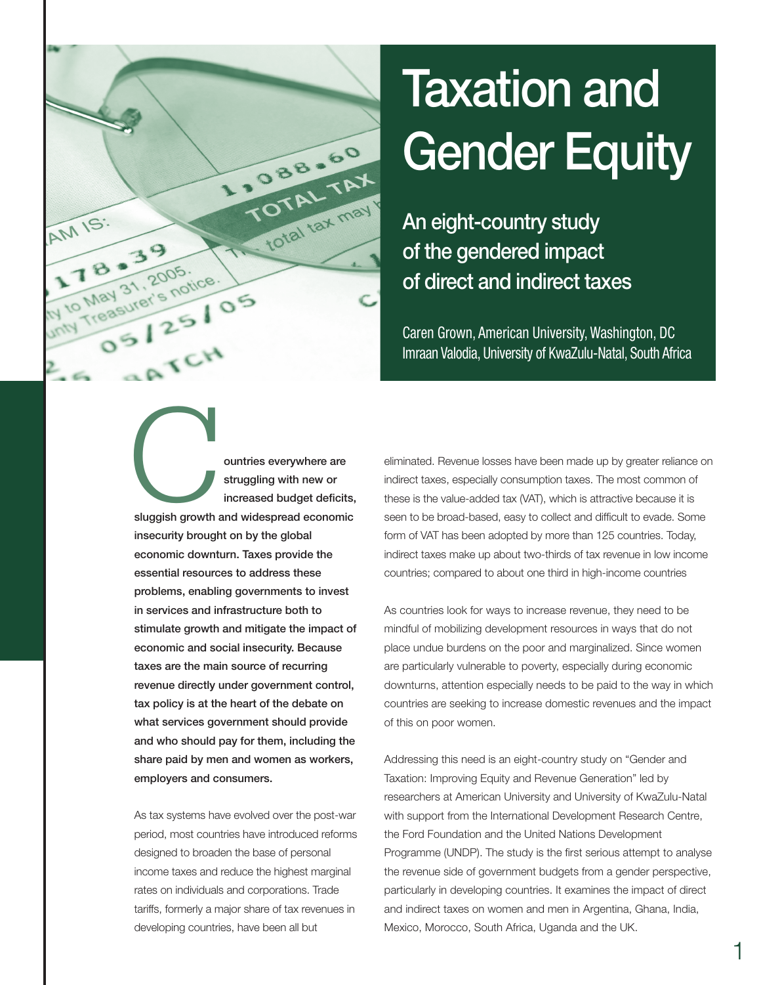

# Taxation and Gender Equity

An eight-country study of the gendered impact of direct and indirect taxes

Caren Grown, American University, Washington, DC Imraan Valodia, University of KwaZulu-Natal, South Africa

ountries everywhere are<br>struggling with new or<br>increased budget deficit:<br>sluggish growth and widespread economic struggling with new or increased budget deficits, sluggish growth and widespread economic insecurity brought on by the global economic downturn. Taxes provide the essential resources to address these problems, enabling governments to invest in services and infrastructure both to stimulate growth and mitigate the impact of economic and social insecurity. Because taxes are the main source of recurring revenue directly under government control, tax policy is at the heart of the debate on what services government should provide and who should pay for them, including the share paid by men and women as workers, employers and consumers.

As tax systems have evolved over the post-war period, most countries have introduced reforms designed to broaden the base of personal income taxes and reduce the highest marginal rates on individuals and corporations. Trade tariffs, formerly a major share of tax revenues in developing countries, have been all but

eliminated. Revenue losses have been made up by greater reliance on indirect taxes, especially consumption taxes. The most common of these is the value-added tax (VAT), which is attractive because it is seen to be broad-based, easy to collect and difficult to evade. Some form of VAT has been adopted by more than 125 countries. Today, indirect taxes make up about two-thirds of tax revenue in low income countries; compared to about one third in high-income countries

As countries look for ways to increase revenue, they need to be mindful of mobilizing development resources in ways that do not place undue burdens on the poor and marginalized. Since women are particularly vulnerable to poverty, especially during economic downturns, attention especially needs to be paid to the way in which countries are seeking to increase domestic revenues and the impact of this on poor women.

Addressing this need is an eight-country study on "Gender and Taxation: Improving Equity and Revenue Generation" led by researchers at American University and University of KwaZulu-Natal with support from the International Development Research Centre, the Ford Foundation and the United Nations Development Programme (UNDP). The study is the first serious attempt to analyse the revenue side of government budgets from a gender perspective, particularly in developing countries. It examines the impact of direct and indirect taxes on women and men in Argentina, Ghana, India, Mexico, Morocco, South Africa, Uganda and the UK.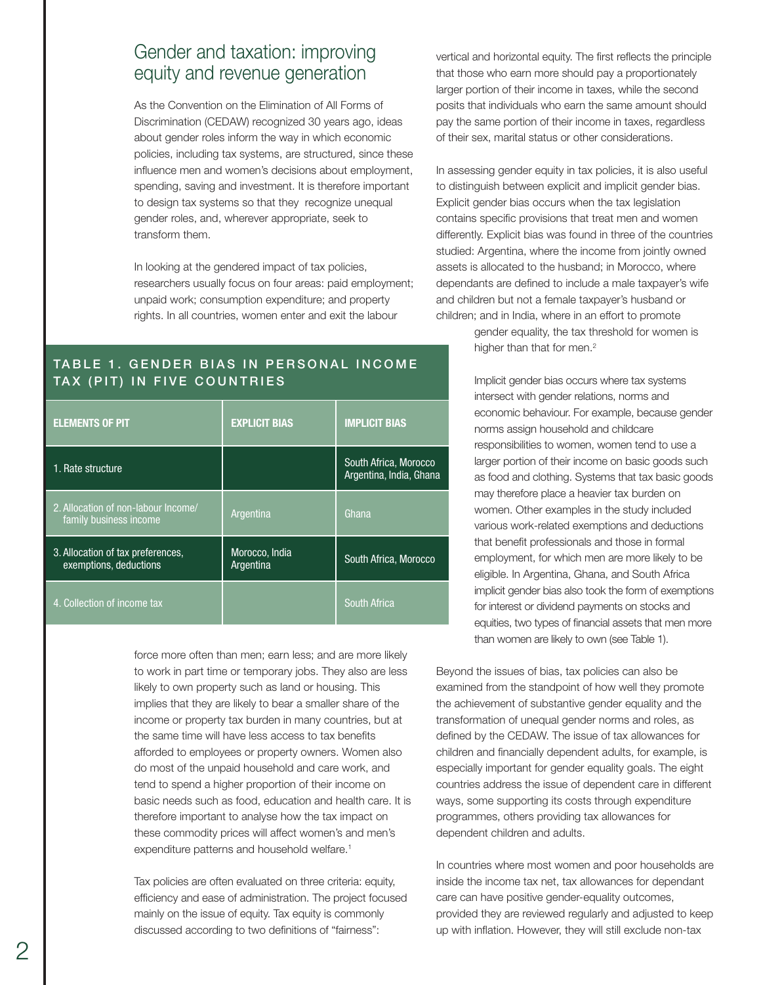# Gender and taxation: improving equity and revenue generation

As the Convention on the Elimination of All Forms of Discrimination (CEDAW) recognized 30 years ago, ideas about gender roles inform the way in which economic policies, including tax systems, are structured, since these influence men and women's decisions about employment, spending, saving and investment. It is therefore important to design tax systems so that they recognize unequal gender roles, and, wherever appropriate, seek to transform them.

In looking at the gendered impact of tax policies, researchers usually focus on four areas: paid employment; unpaid work; consumption expenditure; and property rights. In all countries, women enter and exit the labour

### TABLE 1. GENDER BIAS IN PERSONAL INCOME TAX (PIT) IN FIVE COUNTRIES

| <b>ELEMENTS OF PIT</b>                                        | <b>EXPLICIT BIAS</b>        | <b>IMPLICIT BIAS</b>                             |
|---------------------------------------------------------------|-----------------------------|--------------------------------------------------|
| 1. Rate structure                                             |                             | South Africa, Morocco<br>Argentina, India, Ghana |
| 2. Allocation of non-labour Income/<br>family business income | Argentina                   | Ghana                                            |
| 3. Allocation of tax preferences,<br>exemptions, deductions   | Morocco, India<br>Argentina | South Africa, Morocco                            |
| 4. Collection of income tax                                   |                             | <b>South Africa</b>                              |

force more often than men; earn less; and are more likely to work in part time or temporary jobs. They also are less likely to own property such as land or housing. This implies that they are likely to bear a smaller share of the income or property tax burden in many countries, but at the same time will have less access to tax benefits afforded to employees or property owners. Women also do most of the unpaid household and care work, and tend to spend a higher proportion of their income on basic needs such as food, education and health care. It is therefore important to analyse how the tax impact on these commodity prices will affect women's and men's expenditure patterns and household welfare.<sup>1</sup>

Tax policies are often evaluated on three criteria: equity, efficiency and ease of administration. The project focused mainly on the issue of equity. Tax equity is commonly discussed according to two definitions of "fairness":

vertical and horizontal equity. The first reflects the principle that those who earn more should pay a proportionately larger portion of their income in taxes, while the second posits that individuals who earn the same amount should pay the same portion of their income in taxes, regardless of their sex, marital status or other considerations.

In assessing gender equity in tax policies, it is also useful to distinguish between explicit and implicit gender bias. Explicit gender bias occurs when the tax legislation contains specific provisions that treat men and women differently. Explicit bias was found in three of the countries studied: Argentina, where the income from jointly owned assets is allocated to the husband; in Morocco, where dependants are defined to include a male taxpayer's wife and children but not a female taxpayer's husband or children; and in India, where in an effort to promote

> gender equality, the tax threshold for women is higher than that for men.<sup>2</sup>

Implicit gender bias occurs where tax systems intersect with gender relations, norms and economic behaviour. For example, because gender norms assign household and childcare responsibilities to women, women tend to use a larger portion of their income on basic goods such as food and clothing. Systems that tax basic goods may therefore place a heavier tax burden on women. Other examples in the study included various work-related exemptions and deductions that benefit professionals and those in formal employment, for which men are more likely to be eligible. In Argentina, Ghana, and South Africa implicit gender bias also took the form of exemptions for interest or dividend payments on stocks and equities, two types of financial assets that men more than women are likely to own (see Table 1).

Beyond the issues of bias, tax policies can also be examined from the standpoint of how well they promote the achievement of substantive gender equality and the transformation of unequal gender norms and roles, as defined by the CEDAW. The issue of tax allowances for children and financially dependent adults, for example, is especially important for gender equality goals. The eight countries address the issue of dependent care in different ways, some supporting its costs through expenditure programmes, others providing tax allowances for dependent children and adults.

In countries where most women and poor households are inside the income tax net, tax allowances for dependant care can have positive gender-equality outcomes, provided they are reviewed regularly and adjusted to keep up with inflation. However, they will still exclude non-tax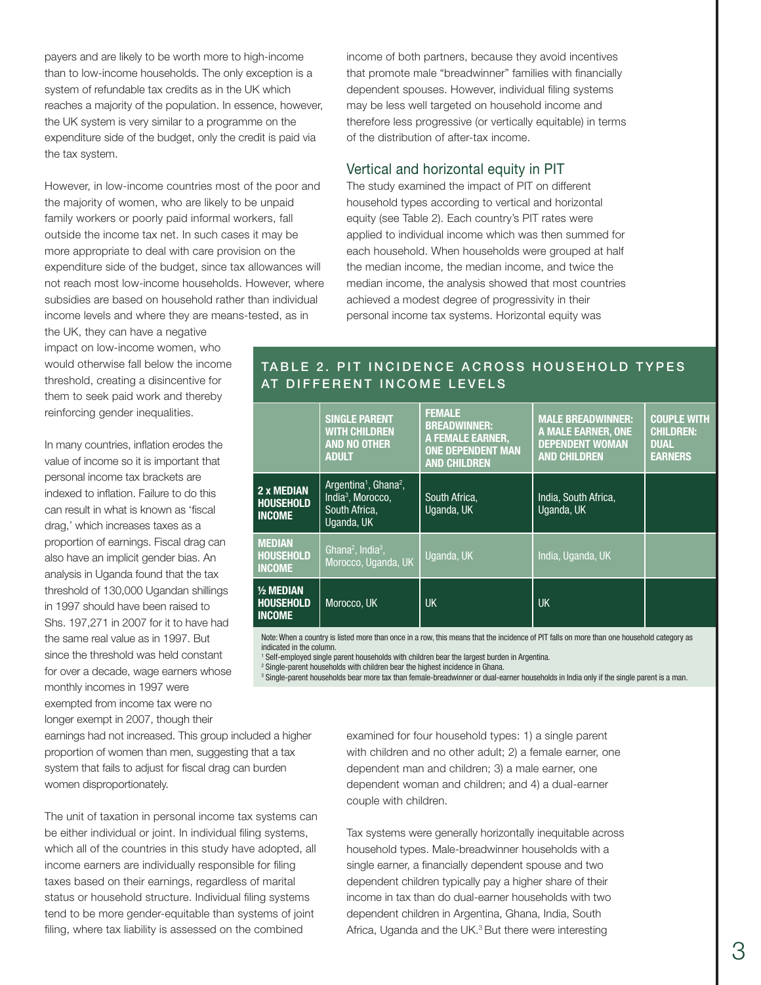payers and are likely to be worth more to high-income than to low-income households. The only exception is a system of refundable tax credits as in the UK which reaches a majority of the population. In essence, however, the UK system is very similar to a programme on the expenditure side of the budget, only the credit is paid via the tax system.

However, in low-income countries most of the poor and the majority of women, who are likely to be unpaid family workers or poorly paid informal workers, fall outside the income tax net. In such cases it may be more appropriate to deal with care provision on the expenditure side of the budget, since tax allowances will not reach most low-income households. However, where subsidies are based on household rather than individual income levels and where they are means-tested, as in

the UK, they can have a negative impact on low-income women, who would otherwise fall below the income threshold, creating a disincentive for them to seek paid work and thereby reinforcing gender inequalities.

In many countries, inflation erodes the value of income so it is important that personal income tax brackets are indexed to inflation. Failure to do this can result in what is known as 'fiscal drag,' which increases taxes as a proportion of earnings. Fiscal drag can also have an implicit gender bias. An analysis in Uganda found that the tax threshold of 130,000 Ugandan shillings in 1997 should have been raised to Shs. 197,271 in 2007 for it to have had the same real value as in 1997. But since the threshold was held constant for over a decade, wage earners whose monthly incomes in 1997 were exempted from income tax were no longer exempt in 2007, though their

income of both partners, because they avoid incentives that promote male "breadwinner" families with financially dependent spouses. However, individual filing systems may be less well targeted on household income and therefore less progressive (or vertically equitable) in terms of the distribution of after-tax income.

#### Vertical and horizontal equity in PIT

The study examined the impact of PIT on different household types according to vertical and horizontal equity (see Table 2). Each country's PIT rates were applied to individual income which was then summed for each household. When households were grouped at half the median income, the median income, and twice the median income, the analysis showed that most countries achieved a modest degree of progressivity in their personal income tax systems. Horizontal equity was

## TABLE 2. PIT INCIDENCE ACROSS HOUSEHOLD TYPES AT DIFFERENT INCOME LEVELS

|                                                    | <b>SINGLE PARENT</b><br><b>WITH CHILDREN</b><br><b>AND NO OTHER</b><br><b>ADULT</b>                           | <b>FEMALE</b><br><b>BREADWINNER:</b><br>A FEMALE EARNER.<br><b>ONE DEPENDENT MAN</b><br><b>AND CHILDREN</b> | <b>MALE BREADWINNER:</b><br>A MALE EARNER, ONE<br><b>DEPENDENT WOMAN</b><br><b>AND CHILDREN</b> | <b>COUPLE WITH</b><br><b>CHILDREN:</b><br><b>DUAL</b><br><b>EARNERS</b> |
|----------------------------------------------------|---------------------------------------------------------------------------------------------------------------|-------------------------------------------------------------------------------------------------------------|-------------------------------------------------------------------------------------------------|-------------------------------------------------------------------------|
| 2 x MEDIAN<br><b>HOUSEHOLD</b><br><b>INCOME</b>    | Argentina <sup>1</sup> , Ghana <sup>2</sup> ,<br>India <sup>3</sup> . Morocco.<br>South Africa.<br>Uganda, UK | South Africa.<br>Uganda, UK                                                                                 | India. South Africa.<br>Uganda, UK                                                              |                                                                         |
| <b>MEDIAN</b><br><b>HOUSEHOLD</b><br><b>INCOME</b> | Ghana <sup>2</sup> , India <sup>3</sup> ,<br>Morocco, Uganda, UK                                              | Uganda, UK                                                                                                  | India, Uganda, UK                                                                               |                                                                         |
| 1/2 MEDIAN<br><b>HOUSEHOLD</b><br><b>INCOME</b>    | Morocco, UK                                                                                                   | <b>UK</b>                                                                                                   | <b>UK</b>                                                                                       |                                                                         |

Note: When a country is listed more than once in a row, this means that the incidence of PIT falls on more than one household category as indicated in the column.

<sup>1</sup> Self-employed single parent households with children bear the largest burden in Argentina.

<sup>2</sup> Single-parent households with children bear the highest incidence in Ghana.

3 Single-parent households bear more tax than female-breadwinner or dual-earner households in India only if the single parent is a man.

earnings had not increased. This group included a higher proportion of women than men, suggesting that a tax system that fails to adjust for fiscal drag can burden women disproportionately.

The unit of taxation in personal income tax systems can be either individual or joint. In individual filing systems, which all of the countries in this study have adopted, all income earners are individually responsible for filing taxes based on their earnings, regardless of marital status or household structure. Individual filing systems tend to be more gender-equitable than systems of joint filing, where tax liability is assessed on the combined

examined for four household types: 1) a single parent with children and no other adult; 2) a female earner, one dependent man and children; 3) a male earner, one dependent woman and children; and 4) a dual-earner couple with children.

Tax systems were generally horizontally inequitable across household types. Male-breadwinner households with a single earner, a financially dependent spouse and two dependent children typically pay a higher share of their income in tax than do dual-earner households with two dependent children in Argentina, Ghana, India, South Africa, Uganda and the UK.<sup>3</sup> But there were interesting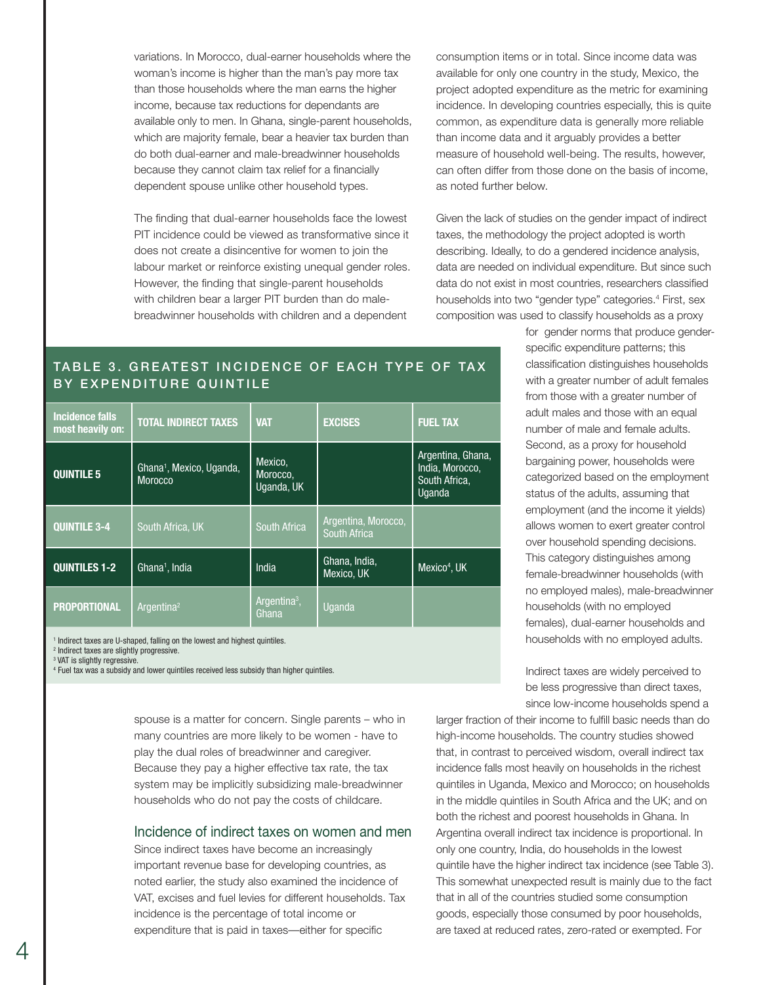variations. In Morocco, dual-earner households where the woman's income is higher than the man's pay more tax than those households where the man earns the higher income, because tax reductions for dependants are available only to men. In Ghana, single-parent households, which are majority female, bear a heavier tax burden than do both dual-earner and male-breadwinner households because they cannot claim tax relief for a financially dependent spouse unlike other household types.

The finding that dual-earner households face the lowest PIT incidence could be viewed as transformative since it does not create a disincentive for women to join the labour market or reinforce existing unequal gender roles. However, the finding that single-parent households with children bear a larger PIT burden than do malebreadwinner households with children and a dependent

consumption items or in total. Since income data was available for only one country in the study, Mexico, the project adopted expenditure as the metric for examining incidence. In developing countries especially, this is quite common, as expenditure data is generally more reliable than income data and it arguably provides a better measure of household well-being. The results, however, can often differ from those done on the basis of income, as noted further below.

Given the lack of studies on the gender impact of indirect taxes, the methodology the project adopted is worth describing. Ideally, to do a gendered incidence analysis, data are needed on individual expenditure. But since such data do not exist in most countries, researchers classified households into two "gender type" categories.<sup>4</sup> First, sex composition was used to classify households as a proxy

### TABLE 3. GREATEST INCIDENCE OF EACH TYPE OF TAX BY EXPENDITURE QUINTILE

| Incidence falls<br>most heavily on: | <b>TOTAL INDIRECT TAXES</b>                            | <b>VAT</b>                        | <b>EXCISES</b>                             | <b>FUEL TAX</b>                                                 |
|-------------------------------------|--------------------------------------------------------|-----------------------------------|--------------------------------------------|-----------------------------------------------------------------|
| <b>QUINTILE 5</b>                   | Ghana <sup>1</sup> , Mexico, Uganda,<br><b>Morocco</b> | Mexico.<br>Morocco,<br>Uganda, UK |                                            | Argentina, Ghana,<br>India. Morocco.<br>South Africa,<br>Uganda |
| <b>QUINTILE 3-4</b>                 | South Africa, UK                                       | <b>South Africa</b>               | Argentina, Morocco,<br><b>South Africa</b> |                                                                 |
| <b>QUINTILES 1-2</b>                | Ghana <sup>1</sup> , India                             | India                             | Ghana, India,<br>Mexico, UK                | Mexico <sup>4</sup> . UK                                        |
| <b>PROPORTIONAL</b>                 | Argentina <sup>2</sup>                                 | Argentina <sup>3</sup> ,<br>Ghana | <b>Uganda</b>                              |                                                                 |

<sup>1</sup> Indirect taxes are U-shaped, falling on the lowest and highest quintiles.

2 Indirect taxes are slightly progressive.

<sup>3</sup> VAT is slightly regressive.

4 Fuel tax was a subsidy and lower quintiles received less subsidy than higher quintiles.

spouse is a matter for concern. Single parents – who in many countries are more likely to be women - have to play the dual roles of breadwinner and caregiver. Because they pay a higher effective tax rate, the tax system may be implicitly subsidizing male-breadwinner households who do not pay the costs of childcare.

#### Incidence of indirect taxes on women and men

Since indirect taxes have become an increasingly important revenue base for developing countries, as noted earlier, the study also examined the incidence of VAT, excises and fuel levies for different households. Tax incidence is the percentage of total income or expenditure that is paid in taxes—either for specific

for gender norms that produce genderspecific expenditure patterns; this classification distinguishes households with a greater number of adult females from those with a greater number of adult males and those with an equal number of male and female adults. Second, as a proxy for household bargaining power, households were categorized based on the employment status of the adults, assuming that employment (and the income it yields) allows women to exert greater control over household spending decisions. This category distinguishes among female-breadwinner households (with no employed males), male-breadwinner households (with no employed females), dual-earner households and households with no employed adults.

Indirect taxes are widely perceived to be less progressive than direct taxes, since low-income households spend a

larger fraction of their income to fulfill basic needs than do high-income households. The country studies showed that, in contrast to perceived wisdom, overall indirect tax incidence falls most heavily on households in the richest quintiles in Uganda, Mexico and Morocco; on households in the middle quintiles in South Africa and the UK; and on both the richest and poorest households in Ghana. In Argentina overall indirect tax incidence is proportional. In only one country, India, do households in the lowest quintile have the higher indirect tax incidence (see Table 3). This somewhat unexpected result is mainly due to the fact that in all of the countries studied some consumption goods, especially those consumed by poor households, are taxed at reduced rates, zero-rated or exempted. For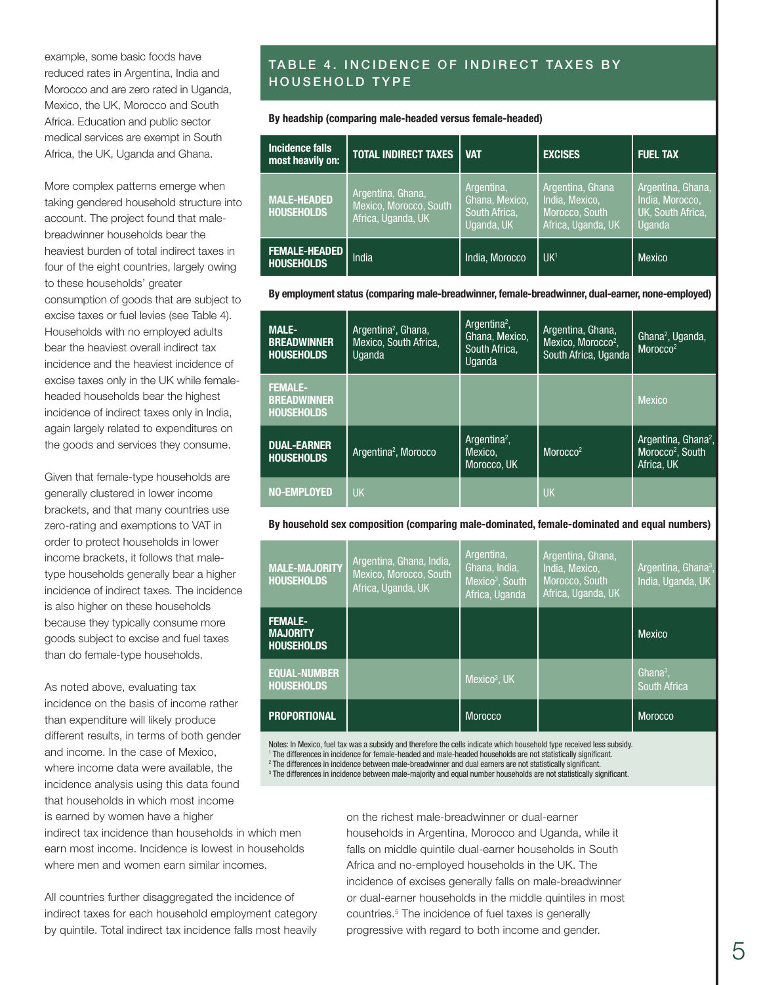example, some basic foods have reduced rates in Argentina, India and Morocco and are zero rated in Uganda, Mexico, the UK, Morocco and South Africa. Education and public sector medical services are exempt in South Africa, the UK, Uganda and Ghana.

More complex patterns emerge when taking gendered household structure into account. The project found that malebreadwinner households bear the heaviest burden of total indirect taxes in four of the eight countries, largely owing to these households' greater consumption of goods that are subject to excise taxes or fuel levies (see Table 4). Households with no employed adults bear the heaviest overall indirect tax incidence and the heaviest incidence of excise taxes only in the UK while femaleheaded households bear the highest incidence of indirect taxes only in India, again largely related to expenditures on the goods and services they consume.

Given that female-type households are generally clustered in lower income brackets, and that many countries use zero-rating and exemptions to VAT in order to protect households in lower income brackets, it follows that maletype households generally bear a higher incidence of indirect taxes. The incidence is also higher on these households because they typically consume more goods subject to excise and fuel taxes than do female-type households.

As noted above, evaluating tax incidence on the basis of income rather than expenditure will likely produce different results, in terms of both gender and income. In the case of Mexico, where income data were available, the incidence analysis using this data found that households in which most income is earned by women have a higher

indirect tax incidence than households in which men earn most income. Incidence is lowest in households where men and women earn similar incomes.

All countries further disaggregated the incidence of indirect taxes for each household employment category by quintile. Total indirect tax incidence falls most heavily

## TABLE 4. INCIDENCE OF INDIRECT TAXES BY HOUSEHOLD TYPE

#### **By headship (comparing male-headed versus female-headed)**

| Incidence falls<br>most heavily on:       | <b>TOTAL INDIRECT TAXES</b>                                       | <b>VAT</b>                                                  | <b>EXCISES</b>                                                             | <b>FUEL TAX</b>                                                            |
|-------------------------------------------|-------------------------------------------------------------------|-------------------------------------------------------------|----------------------------------------------------------------------------|----------------------------------------------------------------------------|
| <b>MALE-HEADED</b><br><b>HOUSEHOLDS</b>   | Argentina, Ghana,<br>Mexico, Morocco, South<br>Africa, Uganda, UK | Argentina,<br>Ghana, Mexico,<br>South Africa,<br>Uganda, UK | Argentina, Ghana<br>India, Mexico,<br>Morocco, South<br>Africa, Uganda, UK | Argentina, Ghana,<br>India, Morocco,<br>UK, South Africa,<br><b>Uganda</b> |
| <b>FEMALE-HEADED</b><br><b>HOUSEHOLDS</b> | India                                                             | India, Morocco                                              | UK <sup>1</sup>                                                            | <b>Mexico</b>                                                              |

**By employment status (comparing male-breadwinner, female-breadwinner, dual-earner, none-employed)**

| <b>MALE-</b><br><b>BREADWINNER</b><br><b>HOUSEHOLDS</b>   | Argentina <sup>2</sup> , Ghana,<br>Mexico, South Africa,<br><b>Uganda</b> | Argentina <sup>2</sup> ,<br>Ghana, Mexico,<br>South Africa.<br><b>Uganda</b> | Argentina, Ghana,<br>Mexico, Morocco <sup>2</sup> ,<br>South Africa, Uganda | Ghana <sup>2</sup> , Uganda,<br>Morocco <sup>2</sup>                          |
|-----------------------------------------------------------|---------------------------------------------------------------------------|------------------------------------------------------------------------------|-----------------------------------------------------------------------------|-------------------------------------------------------------------------------|
| <b>FEMALE-</b><br><b>BREADWINNER</b><br><b>HOUSEHOLDS</b> |                                                                           |                                                                              |                                                                             | <b>Mexico</b>                                                                 |
| <b>DUAL-EARNER</b><br><b>HOUSEHOLDS</b>                   | Argentina <sup>2</sup> , Morocco                                          | Argentina <sup>2</sup> ,<br>Mexico.<br>Morocco, UK                           | $M$ orocco <sup>2</sup>                                                     | Argentina, Ghana <sup>2</sup> .<br>Morocco <sup>2</sup> , South<br>Africa. UK |
| <b>NO-EMPLOYED</b>                                        | <b>UK</b>                                                                 |                                                                              | <b>UK</b>                                                                   |                                                                               |

#### **By household sex composition (comparing male-dominated, female-dominated and equal numbers)**

| <b>MALE-MAJORITY</b><br><b>HOUSEHOLDS</b>              | Argentina, Ghana, India,<br>Mexico, Morocco, South<br>Africa, Uganda, UK | Argentina,<br>Ghana, India,<br>Mexico <sup>3</sup> , South<br>Africa, Uganda | Argentina, Ghana,<br>India, Mexico,<br>Morocco, South<br>Africa, Uganda, UK | Argentina, Ghana <sup>3</sup> ,<br>India, Uganda, UK |
|--------------------------------------------------------|--------------------------------------------------------------------------|------------------------------------------------------------------------------|-----------------------------------------------------------------------------|------------------------------------------------------|
| <b>FEMALE-</b><br><b>MAJORITY</b><br><b>HOUSEHOLDS</b> |                                                                          |                                                                              |                                                                             | <b>Mexico</b>                                        |
| <b>EQUAL-NUMBER</b><br><b>HOUSEHOLDS</b>               |                                                                          | Mexico <sup>3</sup> , UK                                                     |                                                                             | Ghana $3$ ,<br><b>South Africa</b>                   |
| <b>PROPORTIONAL</b>                                    |                                                                          | <b>Morocco</b>                                                               |                                                                             | <b>Morocco</b>                                       |

Notes: In Mexico, fuel tax was a subsidy and therefore the cells indicate which household type received less subsidy. 1 The differences in incidence for female-headed and male-headed households are not statistically significant. 2 The differences in incidence between male-breadwinner and dual earners are not statistically significant.

3 The differences in incidence between male-majority and equal number households are not statistically significant.

on the richest male-breadwinner or dual-earner households in Argentina, Morocco and Uganda, while it falls on middle quintile dual-earner households in South Africa and no-employed households in the UK. The incidence of excises generally falls on male-breadwinner or dual-earner households in the middle quintiles in most countries.5 The incidence of fuel taxes is generally progressive with regard to both income and gender.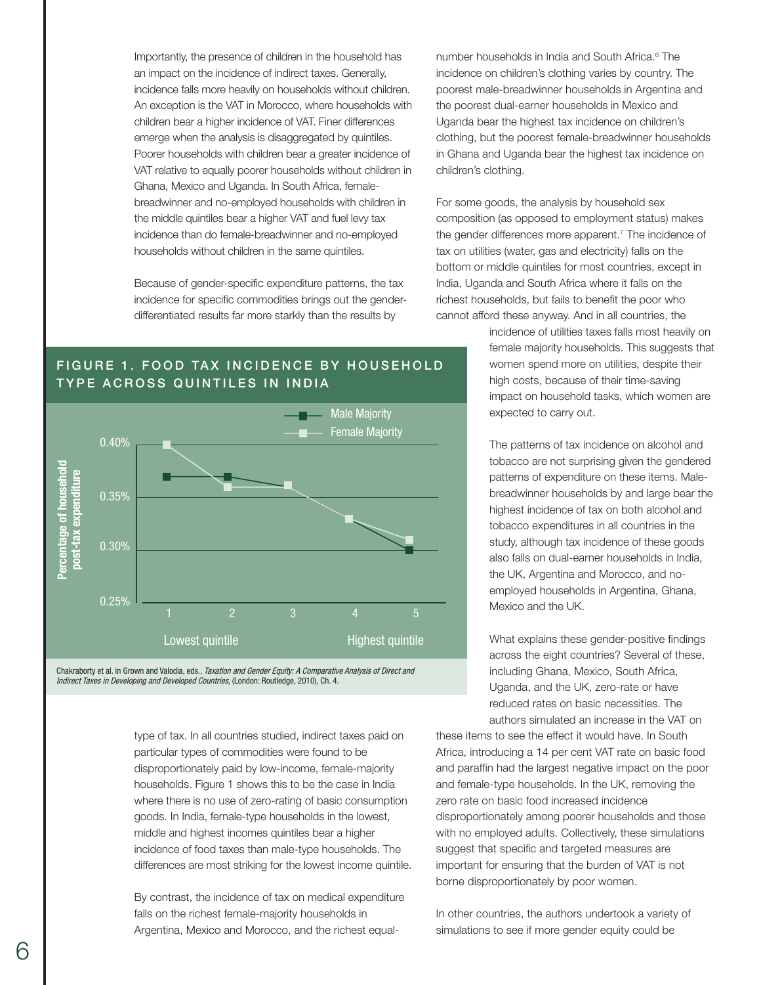Importantly, the presence of children in the household has an impact on the incidence of indirect taxes. Generally, incidence falls more heavily on households without children. An exception is the VAT in Morocco, where households with children bear a higher incidence of VAT. Finer differences emerge when the analysis is disaggregated by quintiles. Poorer households with children bear a greater incidence of VAT relative to equally poorer households without children in Ghana, Mexico and Uganda. In South Africa, femalebreadwinner and no-employed households with children in the middle quintiles bear a higher VAT and fuel levy tax incidence than do female-breadwinner and no-employed households without children in the same quintiles.

Because of gender-specific expenditure patterns, the tax incidence for specific commodities brings out the genderdifferentiated results far more starkly than the results by







type of tax. In all countries studied, indirect taxes paid on particular types of commodities were found to be disproportionately paid by low-income, female-majority households. Figure 1 shows this to be the case in India where there is no use of zero-rating of basic consumption goods. In India, female-type households in the lowest, middle and highest incomes quintiles bear a higher incidence of food taxes than male-type households. The differences are most striking for the lowest income quintile.

By contrast, the incidence of tax on medical expenditure falls on the richest female-majority households in Argentina, Mexico and Morocco, and the richest equalnumber households in India and South Africa.6 The incidence on children's clothing varies by country. The poorest male-breadwinner households in Argentina and the poorest dual-earner households in Mexico and Uganda bear the highest tax incidence on children's clothing, but the poorest female-breadwinner households in Ghana and Uganda bear the highest tax incidence on children's clothing.

For some goods, the analysis by household sex composition (as opposed to employment status) makes the gender differences more apparent.<sup> $7$ </sup> The incidence of tax on utilities (water, gas and electricity) falls on the bottom or middle quintiles for most countries, except in India, Uganda and South Africa where it falls on the richest households, but fails to benefit the poor who cannot afford these anyway. And in all countries, the

> incidence of utilities taxes falls most heavily on female majority households. This suggests that women spend more on utilities, despite their high costs, because of their time-saving impact on household tasks, which women are expected to carry out.

> The patterns of tax incidence on alcohol and tobacco are not surprising given the gendered patterns of expenditure on these items. Malebreadwinner households by and large bear the highest incidence of tax on both alcohol and tobacco expenditures in all countries in the study, although tax incidence of these goods also falls on dual-earner households in India, the UK, Argentina and Morocco, and noemployed households in Argentina, Ghana, Mexico and the UK.

What explains these gender-positive findings across the eight countries? Several of these, including Ghana, Mexico, South Africa, Uganda, and the UK, zero-rate or have reduced rates on basic necessities. The authors simulated an increase in the VAT on

these items to see the effect it would have. In South Africa, introducing a 14 per cent VAT rate on basic food and paraffin had the largest negative impact on the poor and female-type households. In the UK, removing the zero rate on basic food increased incidence disproportionately among poorer households and those with no employed adults. Collectively, these simulations suggest that specific and targeted measures are important for ensuring that the burden of VAT is not borne disproportionately by poor women.

In other countries, the authors undertook a variety of simulations to see if more gender equity could be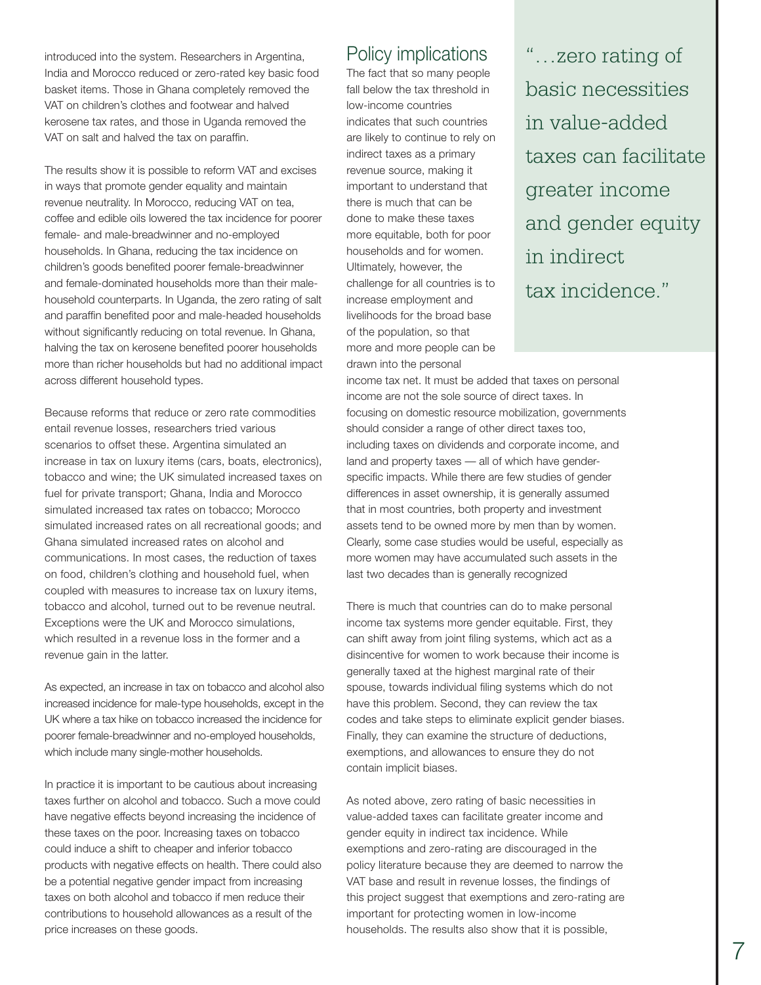introduced into the system. Researchers in Argentina, India and Morocco reduced or zero-rated key basic food basket items. Those in Ghana completely removed the VAT on children's clothes and footwear and halved kerosene tax rates, and those in Uganda removed the VAT on salt and halved the tax on paraffin.

The results show it is possible to reform VAT and excises in ways that promote gender equality and maintain revenue neutrality. In Morocco, reducing VAT on tea, coffee and edible oils lowered the tax incidence for poorer female- and male-breadwinner and no-employed households. In Ghana, reducing the tax incidence on children's goods benefited poorer female-breadwinner and female-dominated households more than their malehousehold counterparts. In Uganda, the zero rating of salt and paraffin benefited poor and male-headed households without significantly reducing on total revenue. In Ghana, halving the tax on kerosene benefited poorer households more than richer households but had no additional impact across different household types.

Because reforms that reduce or zero rate commodities entail revenue losses, researchers tried various scenarios to offset these. Argentina simulated an increase in tax on luxury items (cars, boats, electronics), tobacco and wine; the UK simulated increased taxes on fuel for private transport; Ghana, India and Morocco simulated increased tax rates on tobacco; Morocco simulated increased rates on all recreational goods; and Ghana simulated increased rates on alcohol and communications. In most cases, the reduction of taxes on food, children's clothing and household fuel, when coupled with measures to increase tax on luxury items, tobacco and alcohol, turned out to be revenue neutral. Exceptions were the UK and Morocco simulations, which resulted in a revenue loss in the former and a revenue gain in the latter.

As expected, an increase in tax on tobacco and alcohol also increased incidence for male-type households, except in the UK where a tax hike on tobacco increased the incidence for poorer female-breadwinner and no-employed households, which include many single-mother households.

In practice it is important to be cautious about increasing taxes further on alcohol and tobacco. Such a move could have negative effects beyond increasing the incidence of these taxes on the poor. Increasing taxes on tobacco could induce a shift to cheaper and inferior tobacco products with negative effects on health. There could also be a potential negative gender impact from increasing taxes on both alcohol and tobacco if men reduce their contributions to household allowances as a result of the price increases on these goods.

## Policy implications

The fact that so many people fall below the tax threshold in low-income countries indicates that such countries are likely to continue to rely on indirect taxes as a primary revenue source, making it important to understand that there is much that can be done to make these taxes more equitable, both for poor households and for women. Ultimately, however, the challenge for all countries is to increase employment and livelihoods for the broad base of the population, so that more and more people can be drawn into the personal

"…zero rating of basic necessities in value-added taxes can facilitate greater income and gender equity in indirect tax incidence."

income tax net. It must be added that taxes on personal income are not the sole source of direct taxes. In focusing on domestic resource mobilization, governments should consider a range of other direct taxes too, including taxes on dividends and corporate income, and land and property taxes — all of which have genderspecific impacts. While there are few studies of gender differences in asset ownership, it is generally assumed that in most countries, both property and investment assets tend to be owned more by men than by women. Clearly, some case studies would be useful, especially as more women may have accumulated such assets in the last two decades than is generally recognized

There is much that countries can do to make personal income tax systems more gender equitable. First, they can shift away from joint filing systems, which act as a disincentive for women to work because their income is generally taxed at the highest marginal rate of their spouse, towards individual filing systems which do not have this problem. Second, they can review the tax codes and take steps to eliminate explicit gender biases. Finally, they can examine the structure of deductions, exemptions, and allowances to ensure they do not contain implicit biases.

As noted above, zero rating of basic necessities in value-added taxes can facilitate greater income and gender equity in indirect tax incidence. While exemptions and zero-rating are discouraged in the policy literature because they are deemed to narrow the VAT base and result in revenue losses, the findings of this project suggest that exemptions and zero-rating are important for protecting women in low-income households. The results also show that it is possible,